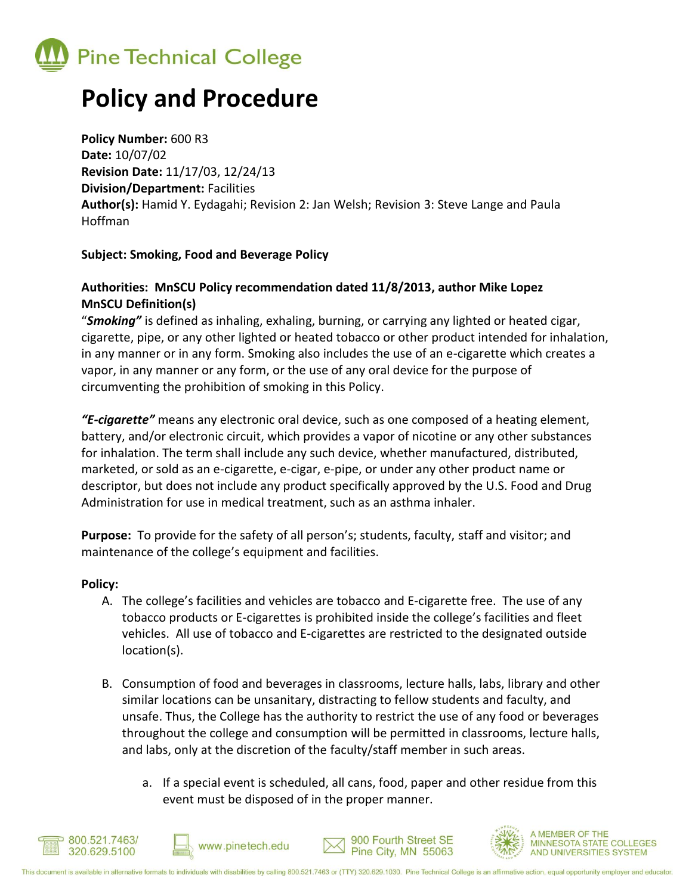

# **Policy and Procedure**

**Policy Number:** 600 R3 **Date:** 10/07/02 **Revision Date:** 11/17/03, 12/24/13 **Division/Department:** Facilities **Author(s):** Hamid Y. Eydagahi; Revision 2: Jan Welsh; Revision 3: Steve Lange and Paula Hoffman

## **Subject: Smoking, Food and Beverage Policy**

## **Authorities: MnSCU Policy recommendation dated 11/8/2013, author Mike Lopez MnSCU Definition(s)**

"*Smoking"* is defined as inhaling, exhaling, burning, or carrying any lighted or heated cigar, cigarette, pipe, or any other lighted or heated tobacco or other product intended for inhalation, in any manner or in any form. Smoking also includes the use of an e-cigarette which creates a vapor, in any manner or any form, or the use of any oral device for the purpose of circumventing the prohibition of smoking in this Policy.

*"E-cigarette"* means any electronic oral device, such as one composed of a heating element, battery, and/or electronic circuit, which provides a vapor of nicotine or any other substances for inhalation. The term shall include any such device, whether manufactured, distributed, marketed, or sold as an e-cigarette, e-cigar, e-pipe, or under any other product name or descriptor, but does not include any product specifically approved by the U.S. Food and Drug Administration for use in medical treatment, such as an asthma inhaler.

**Purpose:** To provide for the safety of all person's; students, faculty, staff and visitor; and maintenance of the college's equipment and facilities.

## **Policy:**

- A. The college's facilities and vehicles are tobacco and E-cigarette free. The use of any tobacco products or E-cigarettes is prohibited inside the college's facilities and fleet vehicles. All use of tobacco and E-cigarettes are restricted to the designated outside location(s).
- B. Consumption of food and beverages in classrooms, lecture halls, labs, library and other similar locations can be unsanitary, distracting to fellow students and faculty, and unsafe. Thus, the College has the authority to restrict the use of any food or beverages throughout the college and consumption will be permitted in classrooms, lecture halls, and labs, only at the discretion of the faculty/staff member in such areas.
	- a. If a special event is scheduled, all cans, food, paper and other residue from this event must be disposed of in the proper manner.